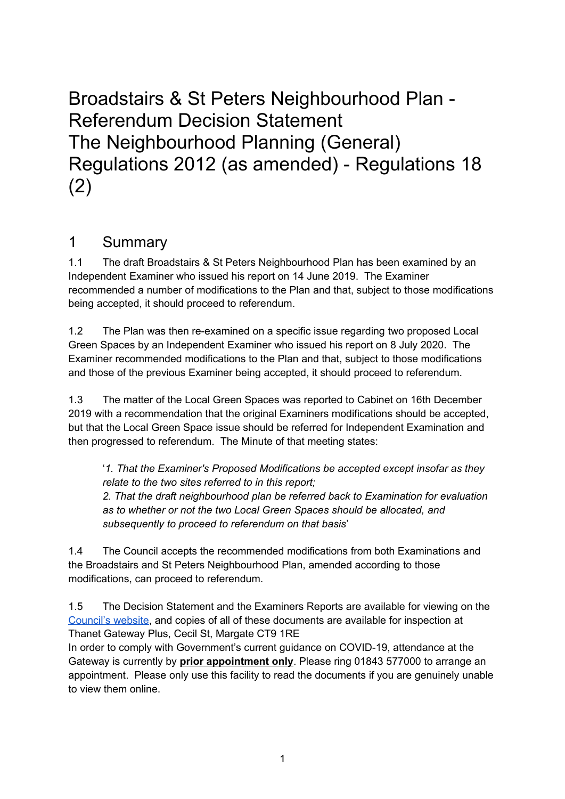Broadstairs & St Peters Neighbourhood Plan - Referendum Decision Statement The Neighbourhood Planning (General) Regulations 2012 (as amended) - Regulations 18 (2)

# 1 Summary

1.1 The draft Broadstairs & St Peters Neighbourhood Plan has been examined by an Independent Examiner who issued his report on 14 June 2019. The Examiner recommended a number of modifications to the Plan and that, subject to those modifications being accepted, it should proceed to referendum.

1.2 The Plan was then re-examined on a specific issue regarding two proposed Local Green Spaces by an Independent Examiner who issued his report on 8 July 2020. The Examiner recommended modifications to the Plan and that, subject to those modifications and those of the previous Examiner being accepted, it should proceed to referendum.

1.3 The matter of the Local Green Spaces was reported to Cabinet on 16th December 2019 with a recommendation that the original Examiners modifications should be accepted, but that the Local Green Space issue should be referred for Independent Examination and then progressed to referendum. The Minute of that meeting states:

'*1. That the Examiner's Proposed Modifications be accepted except insofar as they relate to the two sites referred to in this report; 2. That the draft neighbourhood plan be referred back to Examination for evaluation as to whether or not the two Local Green Spaces should be allocated, and subsequently to proceed to referendum on that basis*'

1.4 The Council accepts the recommended modifications from both Examinations and the Broadstairs and St Peters Neighbourhood Plan, amended according to those modifications, can proceed to referendum.

1.5 The Decision Statement and the Examiners Reports are available for viewing on the [Council's website](https://www.thanet.gov.uk/info-pages/broadstairs-and-st-peters-neighbourhood-development-plan/), and copies of all of these documents are available for inspection at Thanet Gateway Plus, Cecil St, Margate CT9 1RE

In order to comply with Government's current guidance on COVID-19, attendance at the Gateway is currently by **prior appointment only**. Please ring 01843 577000 to arrange an appointment. Please only use this facility to read the documents if you are genuinely unable to view them online.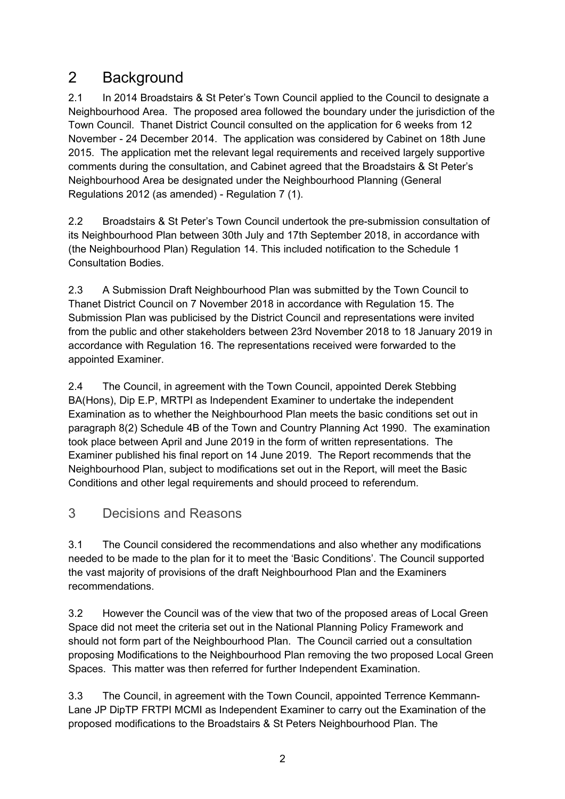# 2 Background

2.1 In 2014 Broadstairs & St Peter's Town Council applied to the Council to designate a Neighbourhood Area. The proposed area followed the boundary under the jurisdiction of the Town Council. Thanet District Council consulted on the application for 6 weeks from 12 November - 24 December 2014. The application was considered by Cabinet on 18th June 2015. The application met the relevant legal requirements and received largely supportive comments during the consultation, and Cabinet agreed that the Broadstairs & St Peter's Neighbourhood Area be designated under the Neighbourhood Planning (General Regulations 2012 (as amended) - Regulation 7 (1).

2.2 Broadstairs & St Peter's Town Council undertook the pre-submission consultation of its Neighbourhood Plan between 30th July and 17th September 2018, in accordance with (the Neighbourhood Plan) Regulation 14. This included notification to the Schedule 1 Consultation Bodies.

2.3 A Submission Draft Neighbourhood Plan was submitted by the Town Council to Thanet District Council on 7 November 2018 in accordance with Regulation 15. The Submission Plan was publicised by the District Council and representations were invited from the public and other stakeholders between 23rd November 2018 to 18 January 2019 in accordance with Regulation 16. The representations received were forwarded to the appointed Examiner.

2.4 The Council, in agreement with the Town Council, appointed Derek Stebbing BA(Hons), Dip E.P, MRTPI as Independent Examiner to undertake the independent Examination as to whether the Neighbourhood Plan meets the basic conditions set out in paragraph 8(2) Schedule 4B of the Town and Country Planning Act 1990. The examination took place between April and June 2019 in the form of written representations. The Examiner published his final report on 14 June 2019. The Report recommends that the Neighbourhood Plan, subject to modifications set out in the Report, will meet the Basic Conditions and other legal requirements and should proceed to referendum.

### 3 Decisions and Reasons

3.1 The Council considered the recommendations and also whether any modifications needed to be made to the plan for it to meet the 'Basic Conditions'. The Council supported the vast majority of provisions of the draft Neighbourhood Plan and the Examiners recommendations.

3.2 However the Council was of the view that two of the proposed areas of Local Green Space did not meet the criteria set out in the National Planning Policy Framework and should not form part of the Neighbourhood Plan. The Council carried out a consultation proposing Modifications to the Neighbourhood Plan removing the two proposed Local Green Spaces. This matter was then referred for further Independent Examination.

3.3 The Council, in agreement with the Town Council, appointed Terrence Kemmann-Lane JP DipTP FRTPI MCMI as Independent Examiner to carry out the Examination of the proposed modifications to the Broadstairs & St Peters Neighbourhood Plan. The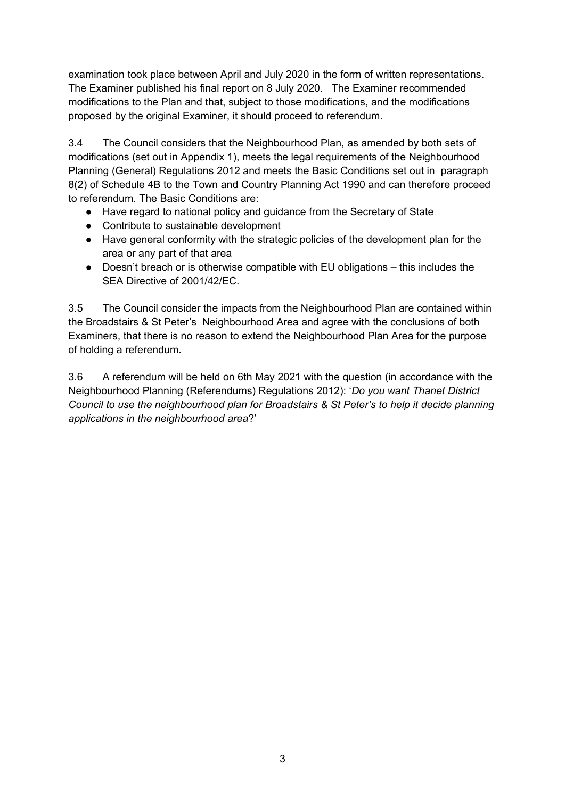examination took place between April and July 2020 in the form of written representations. The Examiner published his final report on 8 July 2020. The Examiner recommended modifications to the Plan and that, subject to those modifications, and the modifications proposed by the original Examiner, it should proceed to referendum.

3.4 The Council considers that the Neighbourhood Plan, as amended by both sets of modifications (set out in Appendix 1), meets the legal requirements of the Neighbourhood Planning (General) Regulations 2012 and meets the Basic Conditions set out in paragraph 8(2) of Schedule 4B to the Town and Country Planning Act 1990 and can therefore proceed to referendum. The Basic Conditions are:

- Have regard to national policy and guidance from the Secretary of State
- Contribute to sustainable development
- Have general conformity with the strategic policies of the development plan for the area or any part of that area
- Doesn't breach or is otherwise compatible with EU obligations this includes the SEA Directive of 2001/42/EC.

3.5 The Council consider the impacts from the Neighbourhood Plan are contained within the Broadstairs & St Peter's Neighbourhood Area and agree with the conclusions of both Examiners, that there is no reason to extend the Neighbourhood Plan Area for the purpose of holding a referendum.

3.6 A referendum will be held on 6th May 2021 with the question (in accordance with the Neighbourhood Planning (Referendums) Regulations 2012): '*Do you want Thanet District Council to use the neighbourhood plan for Broadstairs & St Peter's to help it decide planning applications in the neighbourhood area*?'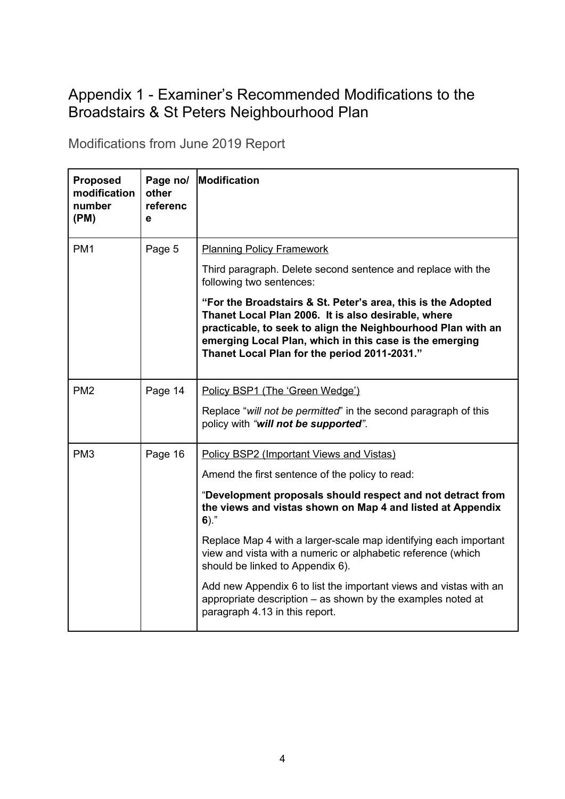# Appendix 1 - Examiner's Recommended Modifications to the Broadstairs & St Peters Neighbourhood Plan

Modifications from June 2019 Report

| <b>Proposed</b><br>modification<br>number<br>(PM) | Page no/<br>other<br>referenc<br>e | <b>Modification</b>                                                                                                                                                                                                                                                                            |  |
|---------------------------------------------------|------------------------------------|------------------------------------------------------------------------------------------------------------------------------------------------------------------------------------------------------------------------------------------------------------------------------------------------|--|
| PM <sub>1</sub>                                   | Page 5                             | <b>Planning Policy Framework</b>                                                                                                                                                                                                                                                               |  |
|                                                   |                                    | Third paragraph. Delete second sentence and replace with the<br>following two sentences:                                                                                                                                                                                                       |  |
|                                                   |                                    | "For the Broadstairs & St. Peter's area, this is the Adopted<br>Thanet Local Plan 2006. It is also desirable, where<br>practicable, to seek to align the Neighbourhood Plan with an<br>emerging Local Plan, which in this case is the emerging<br>Thanet Local Plan for the period 2011-2031." |  |
| PM <sub>2</sub>                                   | Page 14                            | Policy BSP1 (The 'Green Wedge')                                                                                                                                                                                                                                                                |  |
|                                                   |                                    | Replace "will not be permitted" in the second paragraph of this<br>policy with "will not be supported".                                                                                                                                                                                        |  |
| PM <sub>3</sub>                                   | Page 16                            | Policy BSP2 (Important Views and Vistas)                                                                                                                                                                                                                                                       |  |
|                                                   |                                    | Amend the first sentence of the policy to read:                                                                                                                                                                                                                                                |  |
|                                                   |                                    | "Development proposals should respect and not detract from<br>the views and vistas shown on Map 4 and listed at Appendix<br>$6)$ ."                                                                                                                                                            |  |
|                                                   |                                    | Replace Map 4 with a larger-scale map identifying each important<br>view and vista with a numeric or alphabetic reference (which<br>should be linked to Appendix 6).                                                                                                                           |  |
|                                                   |                                    | Add new Appendix 6 to list the important views and vistas with an<br>appropriate description – as shown by the examples noted at<br>paragraph 4.13 in this report.                                                                                                                             |  |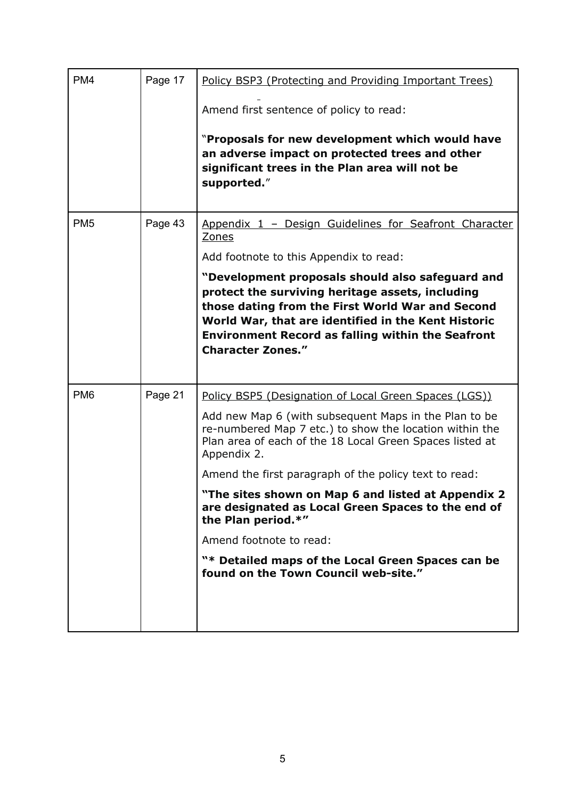| PM <sub>4</sub> | Page 17 | Policy BSP3 (Protecting and Providing Important Trees)<br>Amend first sentence of policy to read:<br>"Proposals for new development which would have<br>an adverse impact on protected trees and other<br>significant trees in the Plan area will not be<br>supported."                                                                                                                                                                                                                                                                                                 |  |
|-----------------|---------|-------------------------------------------------------------------------------------------------------------------------------------------------------------------------------------------------------------------------------------------------------------------------------------------------------------------------------------------------------------------------------------------------------------------------------------------------------------------------------------------------------------------------------------------------------------------------|--|
| PM <sub>5</sub> | Page 43 | Appendix 1 - Design Guidelines for Seafront Character<br>Zones<br>Add footnote to this Appendix to read:<br>"Development proposals should also safeguard and<br>protect the surviving heritage assets, including<br>those dating from the First World War and Second<br>World War, that are identified in the Kent Historic<br><b>Environment Record as falling within the Seafront</b><br><b>Character Zones."</b>                                                                                                                                                     |  |
| PM <sub>6</sub> | Page 21 | Policy BSP5 (Designation of Local Green Spaces (LGS))<br>Add new Map 6 (with subsequent Maps in the Plan to be<br>re-numbered Map 7 etc.) to show the location within the<br>Plan area of each of the 18 Local Green Spaces listed at<br>Appendix 2.<br>Amend the first paragraph of the policy text to read:<br>"The sites shown on Map 6 and listed at Appendix 2<br>are designated as Local Green Spaces to the end of<br>the Plan period.*"<br>Amend footnote to read:<br>"* Detailed maps of the Local Green Spaces can be<br>found on the Town Council web-site." |  |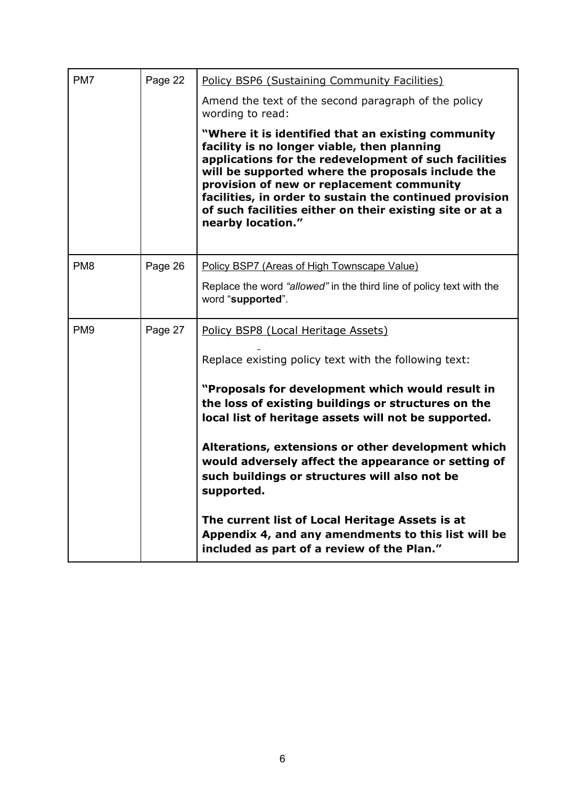| PM7             | Page 22 | Policy BSP6 (Sustaining Community Facilities)                                                                                                                                                                                                                                                                                                                                                            |  |  |  |
|-----------------|---------|----------------------------------------------------------------------------------------------------------------------------------------------------------------------------------------------------------------------------------------------------------------------------------------------------------------------------------------------------------------------------------------------------------|--|--|--|
|                 |         | Amend the text of the second paragraph of the policy<br>wording to read:                                                                                                                                                                                                                                                                                                                                 |  |  |  |
|                 |         | "Where it is identified that an existing community<br>facility is no longer viable, then planning<br>applications for the redevelopment of such facilities<br>will be supported where the proposals include the<br>provision of new or replacement community<br>facilities, in order to sustain the continued provision<br>of such facilities either on their existing site or at a<br>nearby location." |  |  |  |
| PM <sub>8</sub> | Page 26 | Policy BSP7 (Areas of High Townscape Value)                                                                                                                                                                                                                                                                                                                                                              |  |  |  |
|                 |         | Replace the word "allowed" in the third line of policy text with the<br>word "supported".                                                                                                                                                                                                                                                                                                                |  |  |  |
| PM <sub>9</sub> | Page 27 | Policy BSP8 (Local Heritage Assets)                                                                                                                                                                                                                                                                                                                                                                      |  |  |  |
|                 |         | Replace existing policy text with the following text:                                                                                                                                                                                                                                                                                                                                                    |  |  |  |
|                 |         | "Proposals for development which would result in<br>the loss of existing buildings or structures on the<br>local list of heritage assets will not be supported.                                                                                                                                                                                                                                          |  |  |  |
|                 |         | Alterations, extensions or other development which<br>would adversely affect the appearance or setting of<br>such buildings or structures will also not be<br>supported.                                                                                                                                                                                                                                 |  |  |  |
|                 |         | The current list of Local Heritage Assets is at<br>Appendix 4, and any amendments to this list will be<br>included as part of a review of the Plan."                                                                                                                                                                                                                                                     |  |  |  |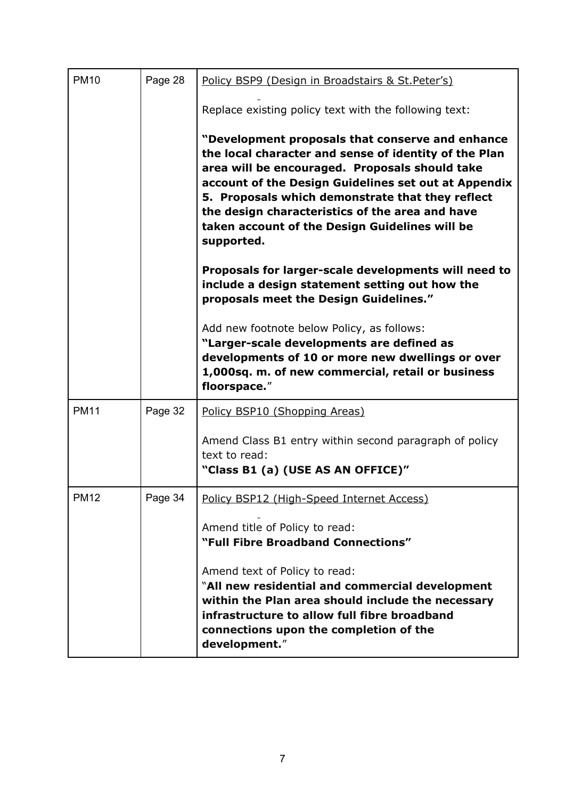| <b>PM10</b> | Page 28 | Policy BSP9 (Design in Broadstairs & St. Peter's)                                                                                                                                                                                                                                                                                                                                          |  |  |  |
|-------------|---------|--------------------------------------------------------------------------------------------------------------------------------------------------------------------------------------------------------------------------------------------------------------------------------------------------------------------------------------------------------------------------------------------|--|--|--|
|             |         | Replace existing policy text with the following text:                                                                                                                                                                                                                                                                                                                                      |  |  |  |
|             |         | "Development proposals that conserve and enhance<br>the local character and sense of identity of the Plan<br>area will be encouraged. Proposals should take<br>account of the Design Guidelines set out at Appendix<br>5. Proposals which demonstrate that they reflect<br>the design characteristics of the area and have<br>taken account of the Design Guidelines will be<br>supported. |  |  |  |
|             |         | Proposals for larger-scale developments will need to<br>include a design statement setting out how the<br>proposals meet the Design Guidelines."                                                                                                                                                                                                                                           |  |  |  |
|             |         | Add new footnote below Policy, as follows:<br>"Larger-scale developments are defined as<br>developments of 10 or more new dwellings or over<br>1,000sq. m. of new commercial, retail or business<br>floorspace."                                                                                                                                                                           |  |  |  |
| <b>PM11</b> | Page 32 | Policy BSP10 (Shopping Areas)                                                                                                                                                                                                                                                                                                                                                              |  |  |  |
|             |         | Amend Class B1 entry within second paragraph of policy<br>text to read:<br>"Class B1 (a) (USE AS AN OFFICE)"                                                                                                                                                                                                                                                                               |  |  |  |
| <b>PM12</b> | Page 34 | Policy BSP12 (High-Speed Internet Access)                                                                                                                                                                                                                                                                                                                                                  |  |  |  |
|             |         | Amend title of Policy to read:<br>"Full Fibre Broadband Connections"                                                                                                                                                                                                                                                                                                                       |  |  |  |
|             |         | Amend text of Policy to read:<br>"All new residential and commercial development<br>within the Plan area should include the necessary<br>infrastructure to allow full fibre broadband<br>connections upon the completion of the<br>development."                                                                                                                                           |  |  |  |